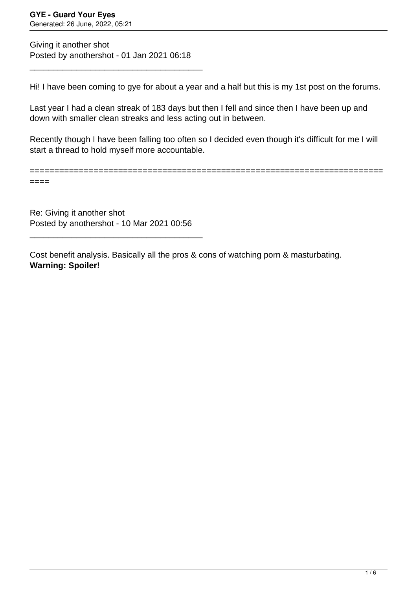============================

Giving it another shot Posted by anothershot - 01 Jan 2021 06:18

\_\_\_\_\_\_\_\_\_\_\_\_\_\_\_\_\_\_\_\_\_\_\_\_\_\_\_\_\_\_\_\_\_\_\_\_\_

Hi! I have been coming to gye for about a year and a half but this is my 1st post on the forums.

Last year I had a clean streak of 183 days but then I fell and since then I have been up and down with smaller clean streaks and less acting out in between.

Recently though I have been falling too often so I decided even though it's difficult for me I will start a thread to hold myself more accountable.

====

Re: Giving it another shot Posted by anothershot - 10 Mar 2021 00:56

\_\_\_\_\_\_\_\_\_\_\_\_\_\_\_\_\_\_\_\_\_\_\_\_\_\_\_\_\_\_\_\_\_\_\_\_\_

Cost benefit analysis. Basically all the pros & cons of watching porn & masturbating. **Warning: Spoiler!**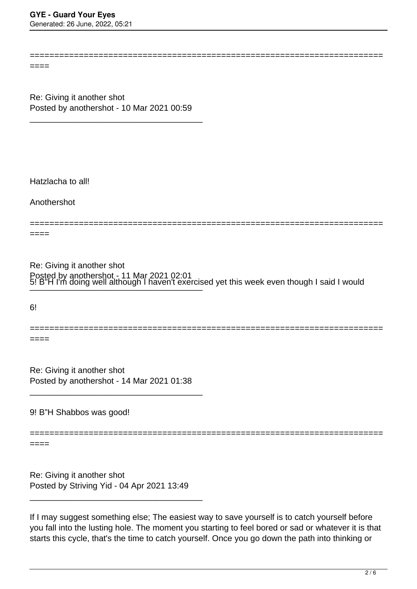========================================================================

====

Re: Giving it another shot Posted by anothershot - 10 Mar 2021 00:59

\_\_\_\_\_\_\_\_\_\_\_\_\_\_\_\_\_\_\_\_\_\_\_\_\_\_\_\_\_\_\_\_\_\_\_\_\_

Hatzlacha to all!

Anothershot

========================================================================

====

5! B"H I'm doing well although I haven't exercised yet this week even though I said I would Re: Giving it another shot Posted by anothershot - 11 Mar 2021 02:01  $\cup:$  D TTTH QUITY WEIT ARTUQUITT HAVEN LEACTURE

 $6!$ 

======================================================================== ====

Re: Giving it another shot Posted by anothershot - 14 Mar 2021 01:38

\_\_\_\_\_\_\_\_\_\_\_\_\_\_\_\_\_\_\_\_\_\_\_\_\_\_\_\_\_\_\_\_\_\_\_\_\_

9! B"H Shabbos was good!

========================================================================

====

Re: Giving it another shot Posted by Striving Yid - 04 Apr 2021 13:49

\_\_\_\_\_\_\_\_\_\_\_\_\_\_\_\_\_\_\_\_\_\_\_\_\_\_\_\_\_\_\_\_\_\_\_\_\_

If I may suggest something else; The easiest way to save yourself is to catch yourself before you fall into the lusting hole. The moment you starting to feel bored or sad or whatever it is that starts this cycle, that's the time to catch yourself. Once you go down the path into thinking or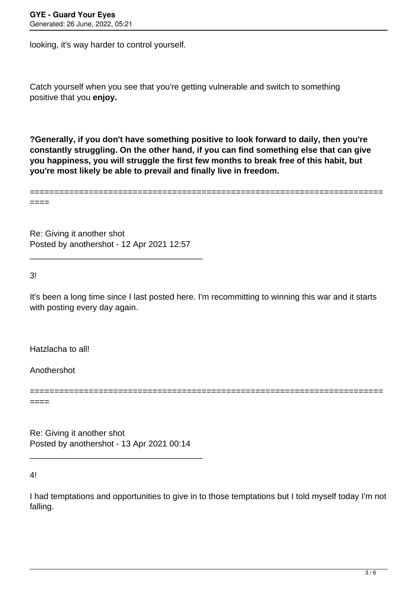looking, it's way harder to control yourself.

Catch yourself when you see that you're getting vulnerable and switch to something positive that you **enjoy.** 

**?Generally, if you don't have something positive to look forward to daily, then you're constantly struggling. On the other hand, if you can find something else that can give you happiness, you will struggle the first few months to break free of this habit, but you're most likely be able to prevail and finally live in freedom.** 

======================================================================== ====

Re: Giving it another shot Posted by anothershot - 12 Apr 2021 12:57

\_\_\_\_\_\_\_\_\_\_\_\_\_\_\_\_\_\_\_\_\_\_\_\_\_\_\_\_\_\_\_\_\_\_\_\_\_

3!

It's been a long time since I last posted here. I'm recommitting to winning this war and it starts with posting every day again.

========================================================================

Hatzlacha to all!

Anothershot

====

Re: Giving it another shot Posted by anothershot - 13 Apr 2021 00:14

\_\_\_\_\_\_\_\_\_\_\_\_\_\_\_\_\_\_\_\_\_\_\_\_\_\_\_\_\_\_\_\_\_\_\_\_\_

4!

I had temptations and opportunities to give in to those temptations but I told myself today I'm not falling.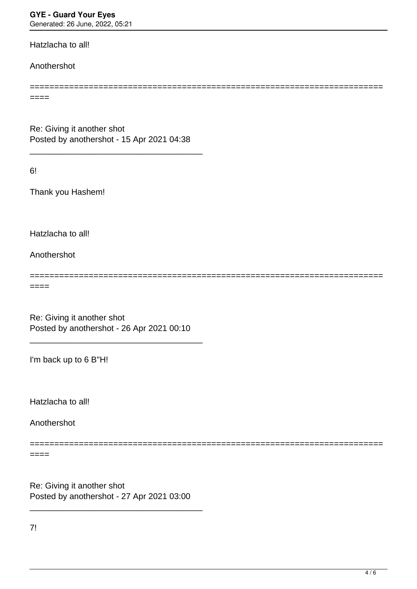**GYE - Guard Your Eyes**

Generated: 26 June, 2022, 05:21

Hatzlacha to all!

Anothershot

 $====$ 

Re: Giving it another shot Posted by anothershot - 15 Apr 2021 04:38

\_\_\_\_\_\_\_\_\_\_\_\_\_\_\_\_\_\_\_\_\_\_\_\_\_\_\_\_\_\_\_\_\_\_\_\_\_

6!

Thank you Hashem!

Hatzlacha to all!

Anothershot

========================================================================

========================================================================

====

Re: Giving it another shot Posted by anothershot - 26 Apr 2021 00:10

\_\_\_\_\_\_\_\_\_\_\_\_\_\_\_\_\_\_\_\_\_\_\_\_\_\_\_\_\_\_\_\_\_\_\_\_\_

I'm back up to 6 B"H!

Hatzlacha to all!

Anothershot

========================================================================

 $====$ 

Re: Giving it another shot Posted by anothershot - 27 Apr 2021 03:00

\_\_\_\_\_\_\_\_\_\_\_\_\_\_\_\_\_\_\_\_\_\_\_\_\_\_\_\_\_\_\_\_\_\_\_\_\_

7!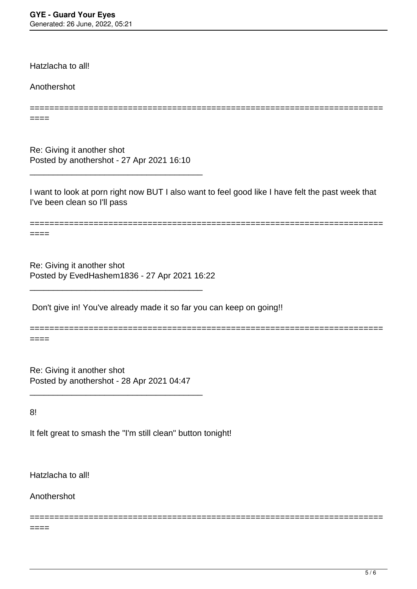Hatzlacha to all!

Anothershot

====

Re: Giving it another shot Posted by anothershot - 27 Apr 2021 16:10

\_\_\_\_\_\_\_\_\_\_\_\_\_\_\_\_\_\_\_\_\_\_\_\_\_\_\_\_\_\_\_\_\_\_\_\_\_

I want to look at porn right now BUT I also want to feel good like I have felt the past week that I've been clean so I'll pass

========================================================================

========================================================================  $====$ 

========================================================================

========================================================================

Re: Giving it another shot Posted by EvedHashem1836 - 27 Apr 2021 16:22

\_\_\_\_\_\_\_\_\_\_\_\_\_\_\_\_\_\_\_\_\_\_\_\_\_\_\_\_\_\_\_\_\_\_\_\_\_

Don't give in! You've already made it so far you can keep on going!!

====

Re: Giving it another shot Posted by anothershot - 28 Apr 2021 04:47

\_\_\_\_\_\_\_\_\_\_\_\_\_\_\_\_\_\_\_\_\_\_\_\_\_\_\_\_\_\_\_\_\_\_\_\_\_

8!

It felt great to smash the "I'm still clean" button tonight!

Hatzlacha to all!

Anothershot

 $====$